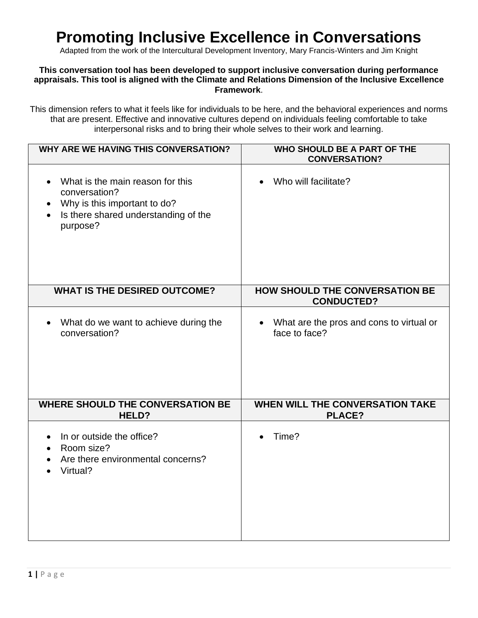## **Promoting Inclusive Excellence in Conversations**

Adapted from the work of the Intercultural Development Inventory, Mary Francis-Winters and Jim Knight

## **This conversation tool has been developed to support inclusive conversation during performance appraisals. This tool is aligned with the Climate and Relations Dimension of the Inclusive Excellence Framework**.

This dimension refers to what it feels like for individuals to be here, and the behavioral experiences and norms that are present. Effective and innovative cultures depend on individuals feeling comfortable to take interpersonal risks and to bring their whole selves to their work and learning.

| <b>WHY ARE WE HAVING THIS CONVERSATION?</b>                                                                                                                                  | WHO SHOULD BE A PART OF THE<br><b>CONVERSATION?</b>                    |
|------------------------------------------------------------------------------------------------------------------------------------------------------------------------------|------------------------------------------------------------------------|
| What is the main reason for this<br>$\bullet$<br>conversation?<br>Why is this important to do?<br>$\bullet$<br>Is there shared understanding of the<br>$\bullet$<br>purpose? | Who will facilitate?                                                   |
| <b>WHAT IS THE DESIRED OUTCOME?</b>                                                                                                                                          | <b>HOW SHOULD THE CONVERSATION BE</b><br><b>CONDUCTED?</b>             |
| What do we want to achieve during the<br>conversation?                                                                                                                       | What are the pros and cons to virtual or<br>$\bullet$<br>face to face? |
| <b>WHERE SHOULD THE CONVERSATION BE</b><br>HELD?                                                                                                                             | <b>WHEN WILL THE CONVERSATION TAKE</b><br><b>PLACE?</b>                |
| In or outside the office?<br>$\bullet$<br>Room size?<br>$\bullet$<br>Are there environmental concerns?<br>$\bullet$<br>Virtual?                                              | Time?                                                                  |